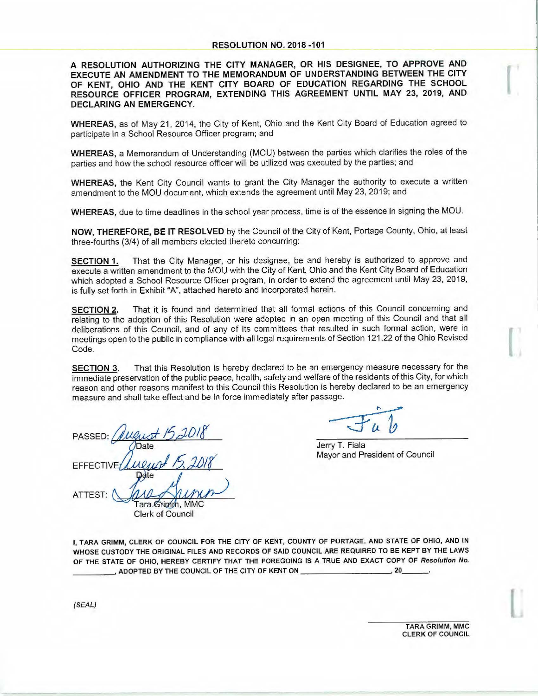A RESOLUTION AUTHORIZING THE CITY MANAGER, OR HIS DESIGNEE, TO APPROVE AND EXECUTE AN AMENDMENT TO THE MEMORANDUM OF UNDERSTANDING BETWEEN THE CITY **OF KENT, OHIO AND THE KENT CITY BOARD OF EDUCATION REGARDING THE SCHOOL RESOURCE OFFICER PROGRAM, EXTENDING THIS AGREEMENT UNTIL MAY 23, 2019, AND DECLARING AN EMERGENCY.** 

**WHEREAS,** as of May 21, 2014, the City of Kent, Ohio and the Kent City Board of Education agreed to participate in a School Resource Officer program; and

**WHEREAS,** a Memorandum of Understanding (MOU) between the parties which clarifies the roles of the parties and how the school resource officer will be utilized was executed by the parties; and

**WHEREAS,** the Kent City Council wants to grant the City Manager the authority to execute a written amendment to the MOU document, which extends the agreement until May 23, 2019; and

**WHEREAS,** due to time deadlines in the school year process, time is of the essence in signing the MOU.

**NOW, THEREFORE, BE IT RESOLVED** by the Council of the City of Kent, Portage County, Ohio, at least three-fourths (3/4) of all members elected thereto concurring:

**SECTION 1.** That the City Manager, or his designee, be and hereby is authorized to approve and execute a written amendment to the MOU with the City of Kent, Ohio and the Kent City Board of Education which adopted a School Resource Officer program, in order to extend the agreement until May 23, 2019, is fully set forth in Exhibit "A", attached hereto and incorporated herein.

**SECTION 2.** That it is found and determined that all formal actions of this Council concerning and relating to the adoption of this Resolution were adopted in an open meeting of this Council and that all deliberations of this Council, and of any of its committees that resulted in such formal action, were in meetings open to the public in compliance with all legal requirements of Section 121.22 of the Ohio Revised Code.

**SECTION 3.** That this Resolution is hereby declared to be an emergency measure necessary for the immediate preservation of the public peace, health, safety and welfare of the residents of this City, for which reason and other reasons manifest to this Council this Resolution is hereby declared to be an emergency measure and shall take effect and be in force immediately after passage.

PASSED: **EFFECTIVE** 

Jerry T. Fiala Mayor and President of Council

ATTEST: Tara.Grimm, MMC Clerk of Council

I, TARA GRIMM, CLERK OF COUNCIL FOR THE CITY OF KENT, COUNTY OF PORTAGE, AND STATE OF OHIO, AND IN WHOSE CUSTODY THE ORIGINAL FILES AND RECORDS OF SAID COUNCIL ARE REQUIRED TO BE KEPT BY THE LAWS OF THE STATE OF OHIO, HEREBY CERTIFY THAT THE FOREGOING IS A TRUE AND EXACT COPY OF *Resolution No.*<br>\_\_\_\_\_\_\_\_\_\_\_, ADOPTED BY THE COUNCIL OF THE CITY OF KENT ON \_\_\_\_\_\_\_\_\_\_\_\_\_\_\_\_\_\_\_\_\_\_\_\_\_\_, 20\_\_\_\_\_\_\_\_.

(SEAL)

TARA GRIMM, MMC CLERK OF COUNCIL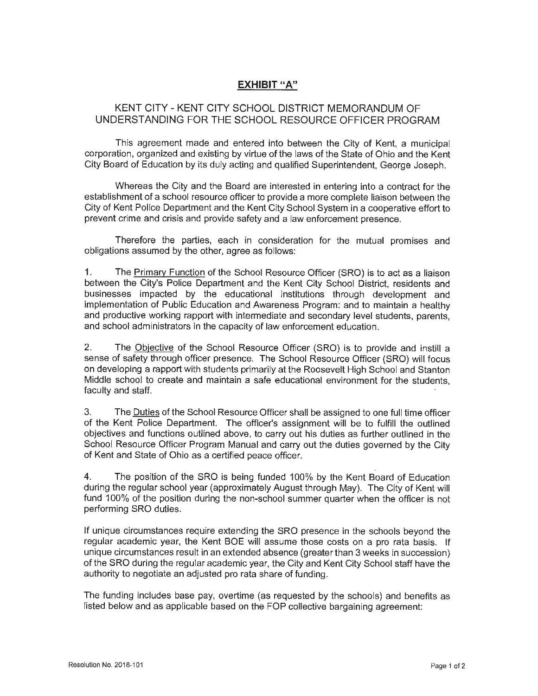## **EXHIBIT "A"**

## KENT CITY - KENT CITY SCHOOL DISTRICT MEMORANDUM OF UNDERSTANDING FOR THE SCHOOL RESOURCE OFFICER PROGRAM

This agreement made and entered into between the City of Kent, a municipal corporation, organized and existing by virtue of the laws of the State of Ohio and the Kent City Board of Education by its duly acting and qualified Superintendent, George Joseph.

Whereas the City and the Board are interested in entering into a contract for the establishment of a school resource officer to provide a more complete liaison between the City of Kent Police Department and the Kent City School System in a cooperative effort to prevent crime and crisis and provide safety and a law enforcement presence.

Therefore the parties, each in consideration for the mutual promises and obligations assumed by the other, agree as follows:

1. The Primary Function of the School Resource Officer (SRO) is to act as a liaison between the City's Police Department and the Kent City School District, residents and businesses impacted by the educational institutions through development and implementation of Public Education and Awareness Program: and to maintain a healthy and productive working rapport with intermediate and secondary level students, parents, and school administrators in the capacity of law enforcement education.

2. The Objective of the School Resource Officer (SRO} is to provide and instill a sense of safety through officer presence. The School Resource Officer (SRO) will focus on developing a rapport with students primarily at the Roosevelt High School and Stanton Middle school to create and maintain a safe educational environment for the students, faculty and staff.

3. The Duties of the School Resource Officer shall be assigned to one full time officer of the Kent Police Department. The officer's assignment will be to fulfill the outlined objectives and functions outlined above, to carry out his duties as further outlined in the School Resource Officer Program Manual and carry out the duties governed by the City of Kent and State of Ohio as a certified peace officer.

4. The position of the SRO is being funded 100% by the Kent Board of Education during the regular school year (approximately August through May}. The City of Kent will fund 100% of the position during the non-school summer quarter when the officer is not performing SRO duties.

If unique circumstances require extending the SRO presence in the schools beyond the regular academic year, the Kent BOE will assume those costs on a pro rata basis. If unique circumstances result in an extended absence (greater than 3 weeks in succession) of the SRO during the regular academic year, the City and Kent City School staff have the authority to negotiate an adjusted pro rata share of funding.

The funding includes base pay, overtime (as requested by the schools) and benefits as listed below and as applicable based on the FOP collective bargaining agreement: